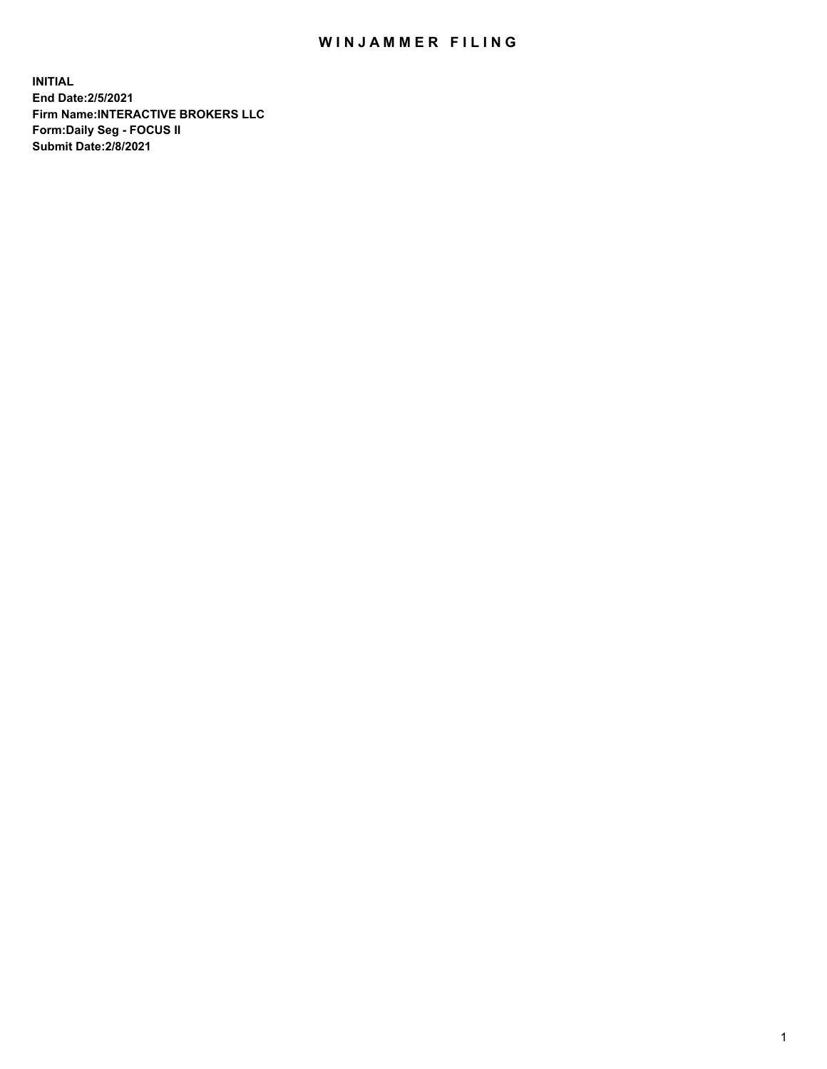## WIN JAMMER FILING

**INITIAL End Date:2/5/2021 Firm Name:INTERACTIVE BROKERS LLC Form:Daily Seg - FOCUS II Submit Date:2/8/2021**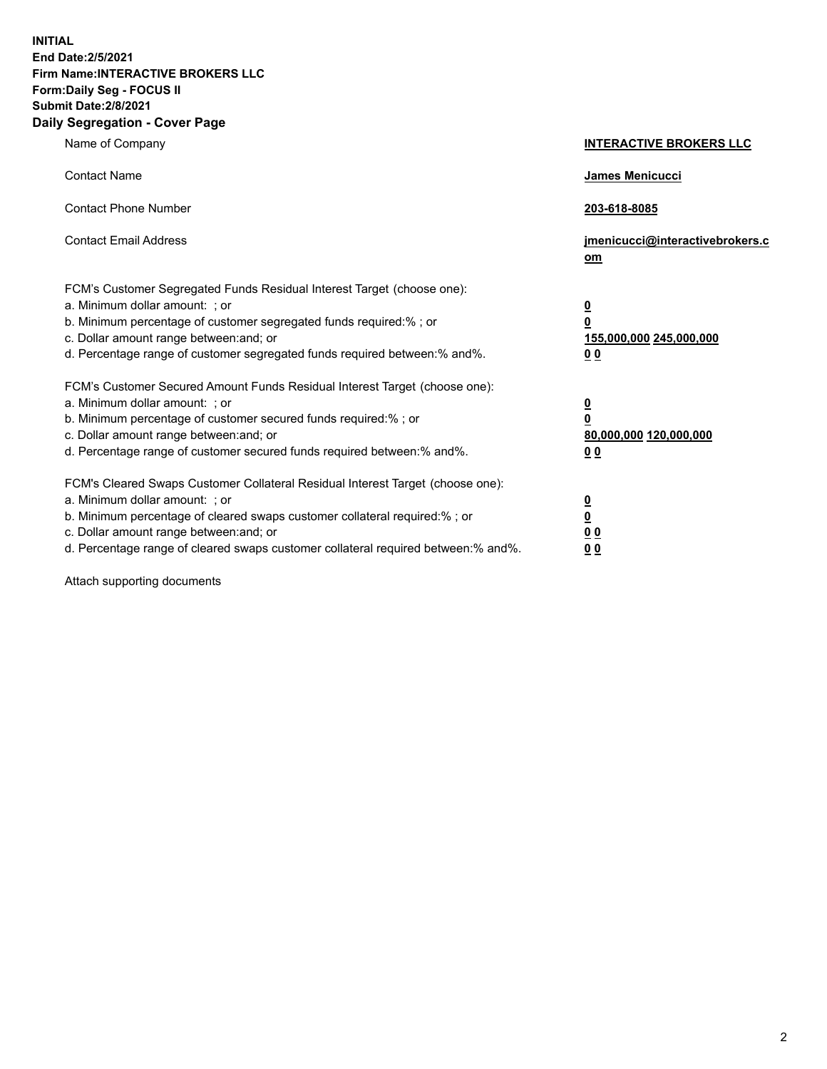**INITIAL End Date:2/5/2021 Firm Name:INTERACTIVE BROKERS LLC Form:Daily Seg - FOCUS II Submit Date:2/8/2021 Daily Segregation - Cover Page**

| Name of Company                                                                                                                                                                                                                                                                                                                | <b>INTERACTIVE BROKERS LLC</b>                                                                  |
|--------------------------------------------------------------------------------------------------------------------------------------------------------------------------------------------------------------------------------------------------------------------------------------------------------------------------------|-------------------------------------------------------------------------------------------------|
| <b>Contact Name</b>                                                                                                                                                                                                                                                                                                            | James Menicucci                                                                                 |
| <b>Contact Phone Number</b>                                                                                                                                                                                                                                                                                                    | 203-618-8085                                                                                    |
| <b>Contact Email Address</b>                                                                                                                                                                                                                                                                                                   | jmenicucci@interactivebrokers.c<br>om                                                           |
| FCM's Customer Segregated Funds Residual Interest Target (choose one):<br>a. Minimum dollar amount: ; or<br>b. Minimum percentage of customer segregated funds required:%; or<br>c. Dollar amount range between: and; or<br>d. Percentage range of customer segregated funds required between:% and%.                          | $\overline{\mathbf{0}}$<br>$\overline{\mathbf{0}}$<br>155,000,000 245,000,000<br>0 <sub>0</sub> |
| FCM's Customer Secured Amount Funds Residual Interest Target (choose one):<br>a. Minimum dollar amount: ; or<br>b. Minimum percentage of customer secured funds required:% ; or<br>c. Dollar amount range between: and; or<br>d. Percentage range of customer secured funds required between:% and%.                           | $\frac{0}{0}$<br>80,000,000 120,000,000<br>0 <sub>0</sub>                                       |
| FCM's Cleared Swaps Customer Collateral Residual Interest Target (choose one):<br>a. Minimum dollar amount: ; or<br>b. Minimum percentage of cleared swaps customer collateral required:% ; or<br>c. Dollar amount range between: and; or<br>d. Percentage range of cleared swaps customer collateral required between:% and%. | $\frac{0}{0}$<br>0 <sub>0</sub><br>0 <sub>0</sub>                                               |

Attach supporting documents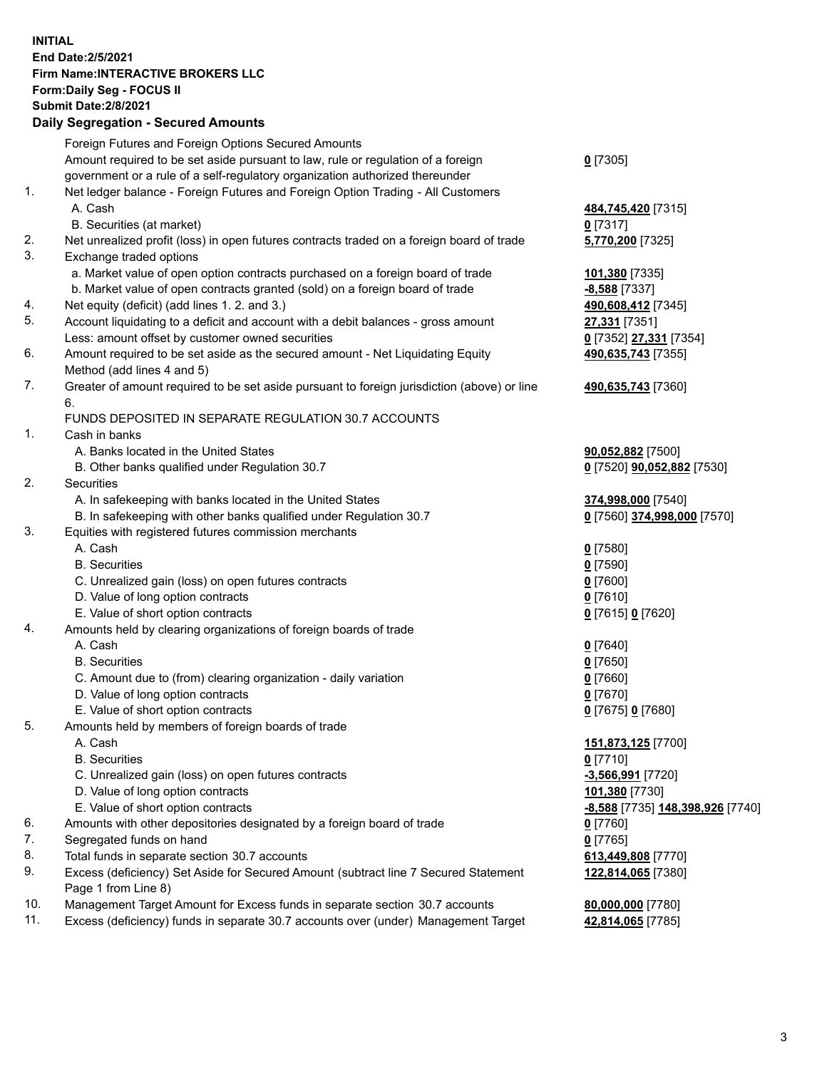## **INITIAL End Date:2/5/2021 Firm Name:INTERACTIVE BROKERS LLC Form:Daily Seg - FOCUS II Submit Date:2/8/2021 Daily Segregation - Secured Amounts**

|     | Pany Ocgregation - Oceanca Anioanic                                                         |                                         |
|-----|---------------------------------------------------------------------------------------------|-----------------------------------------|
|     | Foreign Futures and Foreign Options Secured Amounts                                         |                                         |
|     | Amount required to be set aside pursuant to law, rule or regulation of a foreign            | $0$ [7305]                              |
|     | government or a rule of a self-regulatory organization authorized thereunder                |                                         |
| 1.  | Net ledger balance - Foreign Futures and Foreign Option Trading - All Customers             |                                         |
|     | A. Cash                                                                                     | 484,745,420 [7315]                      |
|     | B. Securities (at market)                                                                   | $0$ [7317]                              |
| 2.  | Net unrealized profit (loss) in open futures contracts traded on a foreign board of trade   | 5,770,200 [7325]                        |
| 3.  | Exchange traded options                                                                     |                                         |
|     | a. Market value of open option contracts purchased on a foreign board of trade              | 101,380 [7335]                          |
|     | b. Market value of open contracts granted (sold) on a foreign board of trade                | $-8,588$ [7337]                         |
| 4.  | Net equity (deficit) (add lines 1. 2. and 3.)                                               | 490,608,412 [7345]                      |
| 5.  | Account liquidating to a deficit and account with a debit balances - gross amount           | 27,331 [7351]                           |
|     | Less: amount offset by customer owned securities                                            | 0 [7352] 27,331 [7354]                  |
| 6.  | Amount required to be set aside as the secured amount - Net Liquidating Equity              | 490,635,743 [7355]                      |
|     | Method (add lines 4 and 5)                                                                  |                                         |
| 7.  | Greater of amount required to be set aside pursuant to foreign jurisdiction (above) or line | 490,635,743 [7360]                      |
|     | 6.                                                                                          |                                         |
|     | FUNDS DEPOSITED IN SEPARATE REGULATION 30.7 ACCOUNTS                                        |                                         |
| 1.  | Cash in banks                                                                               |                                         |
|     | A. Banks located in the United States                                                       | 90,052,882 [7500]                       |
|     | B. Other banks qualified under Regulation 30.7                                              | 0 [7520] <b>90,052,882</b> [7530]       |
| 2.  | Securities                                                                                  |                                         |
|     | A. In safekeeping with banks located in the United States                                   | 374,998,000 [7540]                      |
|     | B. In safekeeping with other banks qualified under Regulation 30.7                          | 0 [7560] 374,998,000 [7570]             |
| 3.  | Equities with registered futures commission merchants                                       |                                         |
|     | A. Cash                                                                                     | $0$ [7580]                              |
|     | <b>B.</b> Securities                                                                        | $0$ [7590]                              |
|     | C. Unrealized gain (loss) on open futures contracts                                         | $0$ [7600]                              |
|     | D. Value of long option contracts                                                           | $0$ [7610]                              |
|     | E. Value of short option contracts                                                          | 0 [7615] 0 [7620]                       |
| 4.  | Amounts held by clearing organizations of foreign boards of trade                           |                                         |
|     | A. Cash                                                                                     | $Q$ [7640]                              |
|     | <b>B.</b> Securities                                                                        | $0$ [7650]                              |
|     | C. Amount due to (from) clearing organization - daily variation                             | $0$ [7660]                              |
|     | D. Value of long option contracts                                                           | $0$ [7670]                              |
|     | E. Value of short option contracts                                                          | 0 [7675] 0 [7680]                       |
| 5.  | Amounts held by members of foreign boards of trade                                          |                                         |
|     | A. Cash                                                                                     | 151,873,125 [7700]                      |
|     | <b>B.</b> Securities                                                                        | $0$ [7710]                              |
|     | C. Unrealized gain (loss) on open futures contracts                                         | -3,566,991 [7720]                       |
|     | D. Value of long option contracts                                                           | 101,380 [7730]                          |
|     | E. Value of short option contracts                                                          | <u>-8,588</u> [7735] 148,398,926 [7740] |
| 6.  | Amounts with other depositories designated by a foreign board of trade                      | 0 [7760]                                |
| 7.  | Segregated funds on hand                                                                    | $0$ [7765]                              |
| 8.  | Total funds in separate section 30.7 accounts                                               | 613,449,808 [7770]                      |
| 9.  | Excess (deficiency) Set Aside for Secured Amount (subtract line 7 Secured Statement         | 122,814,065 [7380]                      |
| 10. | Page 1 from Line 8)                                                                         |                                         |
| 11. | Management Target Amount for Excess funds in separate section 30.7 accounts                 | 80,000,000 [7780]                       |
|     | Excess (deficiency) funds in separate 30.7 accounts over (under) Management Target          | 42,814,065 [7785]                       |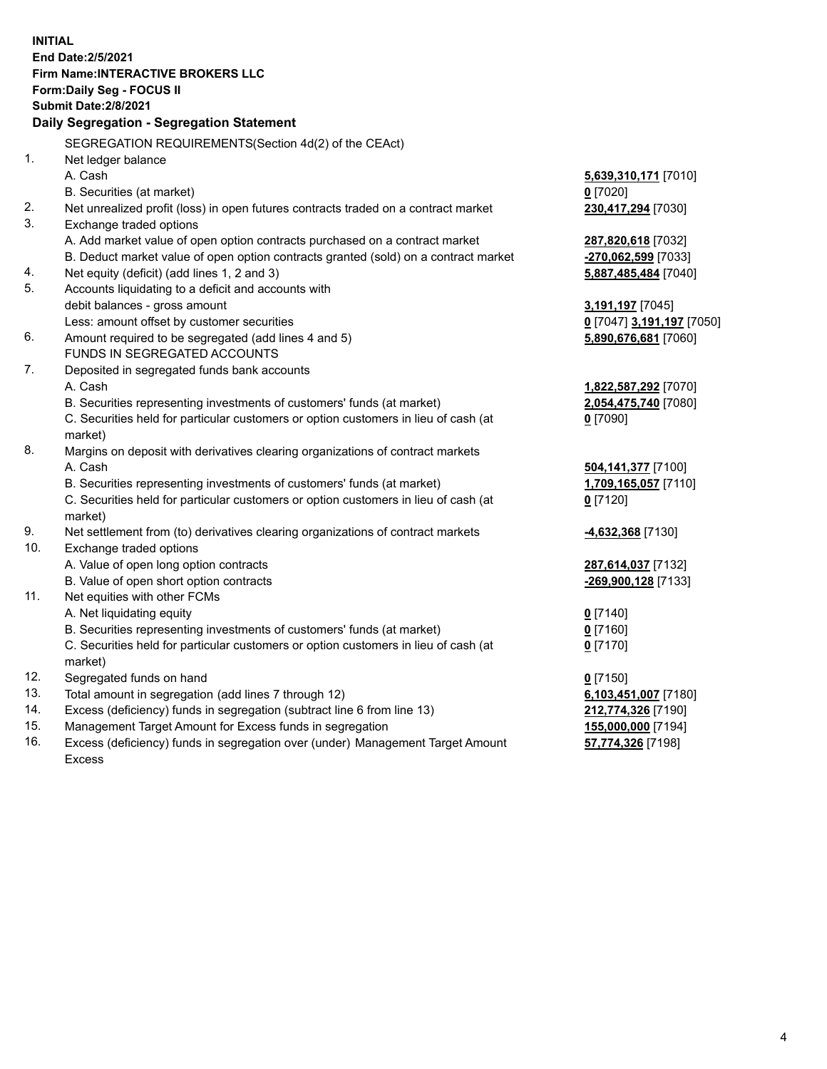**INITIAL End Date:2/5/2021 Firm Name:INTERACTIVE BROKERS LLC Form:Daily Seg - FOCUS II Submit Date:2/8/2021 Daily Segregation - Segregation Statement** SEGREGATION REQUIREMENTS(Section 4d(2) of the CEAct) 1. Net ledger balance A. Cash **5,639,310,171** [7010] B. Securities (at market) **0** [7020] 2. Net unrealized profit (loss) in open futures contracts traded on a contract market **230,417,294** [7030] 3. Exchange traded options A. Add market value of open option contracts purchased on a contract market **287,820,618** [7032] B. Deduct market value of open option contracts granted (sold) on a contract market **-270,062,599** [7033] 4. Net equity (deficit) (add lines 1, 2 and 3) **5,887,485,484** [7040] 5. Accounts liquidating to a deficit and accounts with debit balances - gross amount **3,191,197** [7045] Less: amount offset by customer securities **0** [7047] **3,191,197** [7050] 6. Amount required to be segregated (add lines 4 and 5) **5,890,676,681** [7060] FUNDS IN SEGREGATED ACCOUNTS 7. Deposited in segregated funds bank accounts A. Cash **1,822,587,292** [7070] B. Securities representing investments of customers' funds (at market) **2,054,475,740** [7080] C. Securities held for particular customers or option customers in lieu of cash (at market) **0** [7090] 8. Margins on deposit with derivatives clearing organizations of contract markets A. Cash **504,141,377** [7100] B. Securities representing investments of customers' funds (at market) **1,709,165,057** [7110] C. Securities held for particular customers or option customers in lieu of cash (at market) **0** [7120] 9. Net settlement from (to) derivatives clearing organizations of contract markets **-4,632,368** [7130] 10. Exchange traded options A. Value of open long option contracts **287,614,037** [7132] B. Value of open short option contracts **-269,900,128** [7133] 11. Net equities with other FCMs A. Net liquidating equity **0** [7140] B. Securities representing investments of customers' funds (at market) **0** [7160] C. Securities held for particular customers or option customers in lieu of cash (at market) **0** [7170] 12. Segregated funds on hand **0** [7150] 13. Total amount in segregation (add lines 7 through 12) **6,103,451,007** [7180] 14. Excess (deficiency) funds in segregation (subtract line 6 from line 13) **212,774,326** [7190] 15. Management Target Amount for Excess funds in segregation **155,000,000** [7194] 16. Excess (deficiency) funds in segregation over (under) Management Target Amount **57,774,326** [7198]

Excess